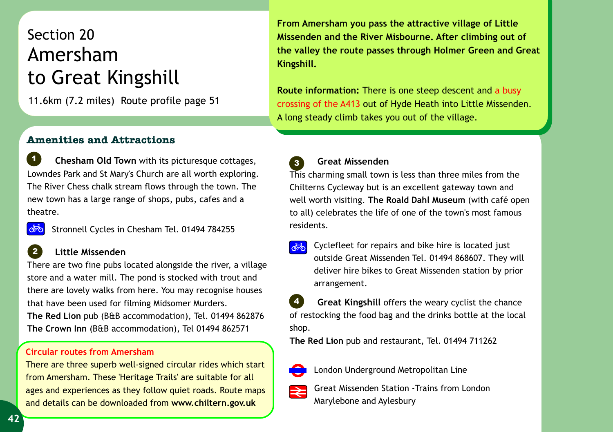## Section 20 Amersham to Great Kingshill

11.6km (7.2 miles) Route profile page 51

**From Amersham you pass the attractive village of Little Missenden and the River Misbourne. After climbing out of the valley the route passes through Holmer Green and Great Kingshill.** 

**Route information:** There is one steep descent and a busy crossing of the A413 out of Hyde Heath into Little Missenden. A long steady climb takes you out of the village.

## **Amenities and Attractions**

**Example 2 Chesham Old Town** with its picturesque cottages, **Constitution of the Chesham Old Town** with its picturesque cottages, **Constitution of the Chesham Old Town** with its picturesque cottages, **Constitution of the C** Lowndes Park and St Mary's Church are all worth exploring. The River Chess chalk stream flows through the town. The new town has a large range of shops, pubs, cafes and a theatre. *1*

Stronnell Cycles in Chesham Tel. 01494 784255

## **Little Missenden**

There are two fine pubs located alongside the river, a village store and a water mill. The pond is stocked with trout and there are lovely walks from here. You may recognise houses that have been used for filming Midsomer Murders. **The Red Lion** pub (B&B accommodation), Tel. 01494 862876

**The Crown Inn** (B&B accommodation), Tel 01494 862571

## **Circular routes from Amersham**

There are three superb well-signed circular rides which start from Amersham. These 'Heritage Trails' are suitable for all ages and experiences as they follow quiet roads. Route maps and details can be downloaded from **www.chiltern.gov.uk**

 **Great Missenden** *3*

This charming small town is less than three miles from the Chilterns Cycleway but is an excellent gateway town and well worth visiting. **The Roald Dahl Museum** (with café open to all) celebrates the life of one of the town's most famous residents.

Cyclefleet for repairs and bike hire is located just outside Great Missenden Tel. 01494 868607. They will deliver hire bikes to Great Missenden station by prior arrangement.

 **Great Kingshill** offers the weary cyclist the chance of restocking the food bag and the drinks bottle at the local shop. *4*

**The Red Lion** pub and restaurant, Tel. 01494 711262



London Underground Metropolitan Line



Great Missenden Station -Trains from London Marylebone and Aylesbury

*2*